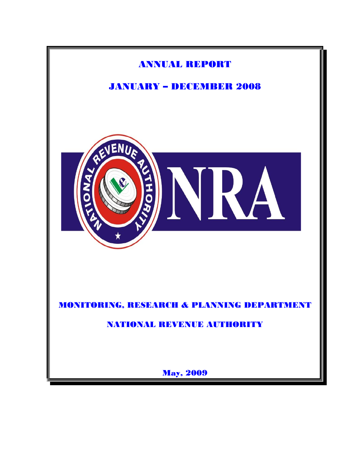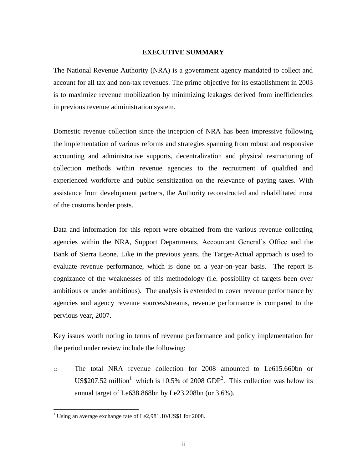#### **EXECUTIVE SUMMARY**

<span id="page-1-0"></span>The National Revenue Authority (NRA) is a government agency mandated to collect and account for all tax and non-tax revenues. The prime objective for its establishment in 2003 is to maximize revenue mobilization by minimizing leakages derived from inefficiencies in previous revenue administration system.

Domestic revenue collection since the inception of NRA has been impressive following the implementation of various reforms and strategies spanning from robust and responsive accounting and administrative supports, decentralization and physical restructuring of collection methods within revenue agencies to the recruitment of qualified and experienced workforce and public sensitization on the relevance of paying taxes. With assistance from development partners, the Authority reconstructed and rehabilitated most of the customs border posts.

Data and information for this report were obtained from the various revenue collecting agencies within the NRA, Support Departments, Accountant General's Office and the Bank of Sierra Leone. Like in the previous years, the Target-Actual approach is used to evaluate revenue performance, which is done on a year-on-year basis. The report is cognizance of the weaknesses of this methodology (i.e. possibility of targets been over ambitious or under ambitious). The analysis is extended to cover revenue performance by agencies and agency revenue sources/streams, revenue performance is compared to the pervious year, 2007.

Key issues worth noting in terms of revenue performance and policy implementation for the period under review include the following:

o The total NRA revenue collection for 2008 amounted to Le615.660bn or US\$207.52 million<sup>1</sup> which is 10.5% of 2008 GDP<sup>2</sup>. This collection was below its annual target of Le638.868bn by Le23.208bn (or 3.6%).

<sup>&</sup>lt;sup>1</sup> Using an average exchange rate of Le2,981.10/US\$1 for 2008.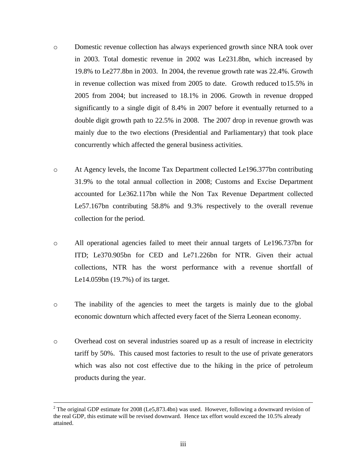- o Domestic revenue collection has always experienced growth since NRA took over in 2003. Total domestic revenue in 2002 was Le231.8bn, which increased by 19.8% to Le277.8bn in 2003. In 2004, the revenue growth rate was 22.4%. Growth in revenue collection was mixed from 2005 to date. Growth reduced to15.5% in 2005 from 2004; but increased to 18.1% in 2006. Growth in revenue dropped significantly to a single digit of 8.4% in 2007 before it eventually returned to a double digit growth path to 22.5% in 2008. The 2007 drop in revenue growth was mainly due to the two elections (Presidential and Parliamentary) that took place concurrently which affected the general business activities.
- o At Agency levels, the Income Tax Department collected Le196.377bn contributing 31.9% to the total annual collection in 2008; Customs and Excise Department accounted for Le362.117bn while the Non Tax Revenue Department collected Le57.167bn contributing 58.8% and 9.3% respectively to the overall revenue collection for the period.
- o All operational agencies failed to meet their annual targets of Le196.737bn for ITD; Le370.905bn for CED and Le71.226bn for NTR. Given their actual collections, NTR has the worst performance with a revenue shortfall of Le14.059bn (19.7%) of its target.
- o The inability of the agencies to meet the targets is mainly due to the global economic downturn which affected every facet of the Sierra Leonean economy.
- o Overhead cost on several industries soared up as a result of increase in electricity tariff by 50%. This caused most factories to result to the use of private generators which was also not cost effective due to the hiking in the price of petroleum products during the year.

<sup>&</sup>lt;sup>2</sup> The original GDP estimate for 2008 (Le5,873.4bn) was used. However, following a downward revision of the real GDP, this estimate will be revised downward. Hence tax effort would exceed the 10.5% already attained.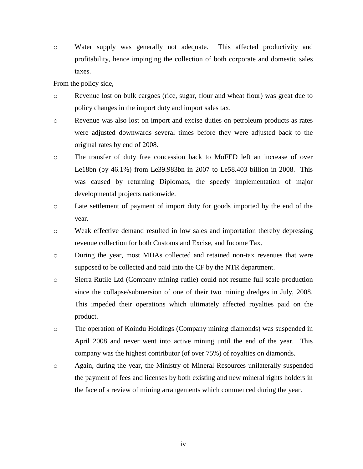o Water supply was generally not adequate. This affected productivity and profitability, hence impinging the collection of both corporate and domestic sales taxes.

From the policy side,

- o Revenue lost on bulk cargoes (rice, sugar, flour and wheat flour) was great due to policy changes in the import duty and import sales tax.
- o Revenue was also lost on import and excise duties on petroleum products as rates were adjusted downwards several times before they were adjusted back to the original rates by end of 2008.
- o The transfer of duty free concession back to MoFED left an increase of over Le18bn (by 46.1%) from Le39.983bn in 2007 to Le58.403 billion in 2008. This was caused by returning Diplomats, the speedy implementation of major developmental projects nationwide.
- o Late settlement of payment of import duty for goods imported by the end of the year.
- o Weak effective demand resulted in low sales and importation thereby depressing revenue collection for both Customs and Excise, and Income Tax.
- o During the year, most MDAs collected and retained non-tax revenues that were supposed to be collected and paid into the CF by the NTR department.
- o Sierra Rutile Ltd (Company mining rutile) could not resume full scale production since the collapse/submersion of one of their two mining dredges in July, 2008. This impeded their operations which ultimately affected royalties paid on the product.
- o The operation of Koindu Holdings (Company mining diamonds) was suspended in April 2008 and never went into active mining until the end of the year. This company was the highest contributor (of over 75%) of royalties on diamonds.
- o Again, during the year, the Ministry of Mineral Resources unilaterally suspended the payment of fees and licenses by both existing and new mineral rights holders in the face of a review of mining arrangements which commenced during the year.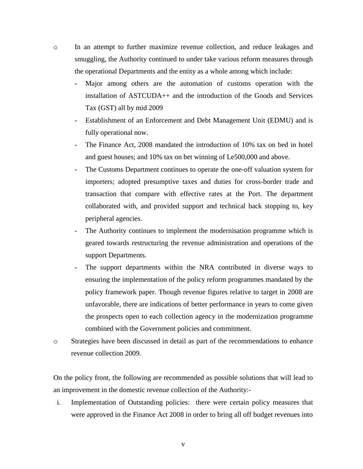- o In an attempt to further maximize revenue collection, and reduce leakages and smuggling, the Authority continued to under take various reform measures through the operational Departments and the entity as a whole among which include:
	- Major among others are the automation of customs operation with the installation of ASTCUDA++ and the introduction of the Goods and Services Tax (GST) all by mid 2009
	- Establishment of an Enforcement and Debt Management Unit (EDMU) and is fully operational now.
	- The Finance Act, 2008 mandated the introduction of 10% tax on bed in hotel and guest houses; and 10% tax on bet winning of Le500,000 and above.
	- The Customs Department continues to operate the one-off valuation system for importers; adopted presumptive taxes and duties for cross-border trade and transaction that compare with effective rates at the Port. The department collaborated with, and provided support and technical back stopping to, key peripheral agencies.
	- The Authority continues to implement the modernisation programme which is geared towards restructuring the revenue administration and operations of the support Departments.
	- The support departments within the NRA contributed in diverse ways to ensuring the implementation of the policy reform programmes mandated by the policy framework paper. Though revenue figures relative to target in 2008 are unfavorable, there are indications of better performance in years to come given the prospects open to each collection agency in the modernization programme combined with the Government policies and commitment.
- o Strategies have been discussed in detail as part of the recommendations to enhance revenue collection 2009.

On the policy front, the following are recommended as possible solutions that will lead to an improvement in the domestic revenue collection of the Authority:-

i. Implementation of Outstanding policies:there were certain policy measures that were approved in the Finance Act 2008 in order to bring all off budget revenues into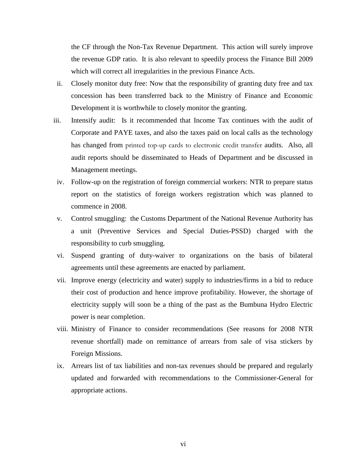the CF through the Non-Tax Revenue Department. This action will surely improve the revenue GDP ratio. It is also relevant to speedily process the Finance Bill 2009 which will correct all irregularities in the previous Finance Acts.

- ii. Closely monitor duty free: Now that the responsibility of granting duty free and tax concession has been transferred back to the Ministry of Finance and Economic Development it is worthwhile to closely monitor the granting.
- iii. Intensify audit:Is it recommended that Income Tax continues with the audit of Corporate and PAYE taxes, and also the taxes paid on local calls as the technology has changed from printed top-up cards to electronic credit transfer audits. Also, all audit reports should be disseminated to Heads of Department and be discussed in Management meetings.
- iv. Follow-up on the registration of foreign commercial workers: NTR to prepare status report on the statistics of foreign workers registration which was planned to commence in 2008.
- v. Control smuggling: the Customs Department of the National Revenue Authority has a unit (Preventive Services and Special Duties-PSSD) charged with the responsibility to curb smuggling.
- vi. Suspend granting of duty-waiver to organizations on the basis of bilateral agreements until these agreements are enacted by parliament.
- vii. Improve energy (electricity and water) supply to industries/firms in a bid to reduce their cost of production and hence improve profitability. However, the shortage of electricity supply will soon be a thing of the past as the Bumbuna Hydro Electric power is near completion.
- viii. Ministry of Finance to consider recommendations (See reasons for 2008 NTR revenue shortfall) made on remittance of arrears from sale of visa stickers by Foreign Missions.
- ix. Arrears list of tax liabilities and non-tax revenues should be prepared and regularly updated and forwarded with recommendations to the Commissioner-General for appropriate actions.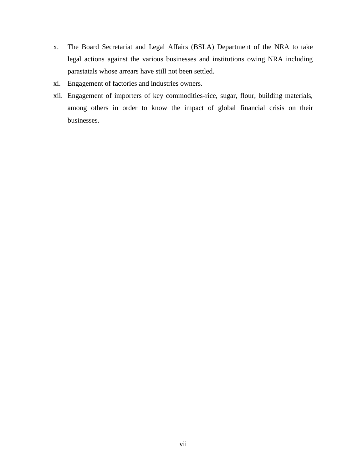- x. The Board Secretariat and Legal Affairs (BSLA) Department of the NRA to take legal actions against the various businesses and institutions owing NRA including parastatals whose arrears have still not been settled.
- xi. Engagement of factories and industries owners.
- xii. Engagement of importers of key commodities-rice, sugar, flour, building materials, among others in order to know the impact of global financial crisis on their businesses.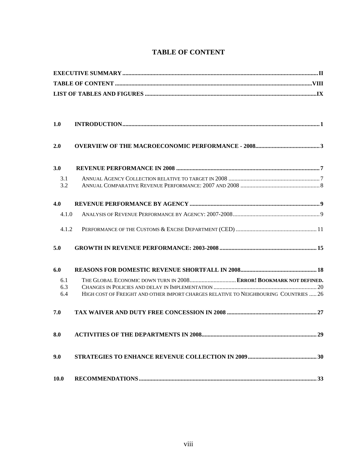<span id="page-7-0"></span>

| 1.0        |                                                                                      |
|------------|--------------------------------------------------------------------------------------|
| 2.0        |                                                                                      |
| 3.0        |                                                                                      |
| 3.1<br>3.2 |                                                                                      |
| 4.0        |                                                                                      |
| 4.1.0      |                                                                                      |
| 4.1.2      |                                                                                      |
| 5.0        |                                                                                      |
| 6.0        |                                                                                      |
| 6.1        | THE GLOBAL ECONOMIC DOWN TURN IN 2008 ERROR! BOOKMARK NOT DEFINED.                   |
| 6.3<br>6.4 | HIGH COST OF FREIGHT AND OTHER IMPORT CHARGES RELATIVE TO NEIGHBOURING COUNTRIES  26 |
| 7.0        |                                                                                      |
| 8.0        |                                                                                      |
| 9.0        |                                                                                      |
| 10.0       |                                                                                      |

# **TABLE OF CONTENT**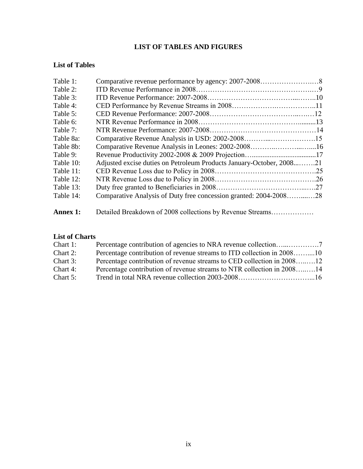# **LIST OF TABLES AND FIGURES**

## <span id="page-8-0"></span>**List of Tables**

| Table 1:        |                                                                      |  |
|-----------------|----------------------------------------------------------------------|--|
| Table 2:        |                                                                      |  |
| Table 3:        |                                                                      |  |
| Table 4:        |                                                                      |  |
| Table 5:        |                                                                      |  |
| Table 6:        |                                                                      |  |
| Table 7:        |                                                                      |  |
| Table 8a:       |                                                                      |  |
| Table 8b:       |                                                                      |  |
| Table 9:        |                                                                      |  |
| Table 10:       | Adjusted excise duties on Petroleum Products January-October, 200821 |  |
| Table 11:       |                                                                      |  |
| Table 12:       |                                                                      |  |
| Table 13:       |                                                                      |  |
| Table 14:       | Comparative Analysis of Duty free concession granted: 2004-200828    |  |
| <b>Annex 1:</b> | Detailed Breakdown of 2008 collections by Revenue Streams            |  |

# **List of Charts**

| Chart 1:    |                                                                        |  |
|-------------|------------------------------------------------------------------------|--|
| Chart 2:    | Percentage contribution of revenue streams to ITD collection in 200810 |  |
| Chart 3:    | Percentage contribution of revenue streams to CED collection in 200812 |  |
| Chart 4:    | Percentage contribution of revenue streams to NTR collection in 200814 |  |
| Chart $5$ : |                                                                        |  |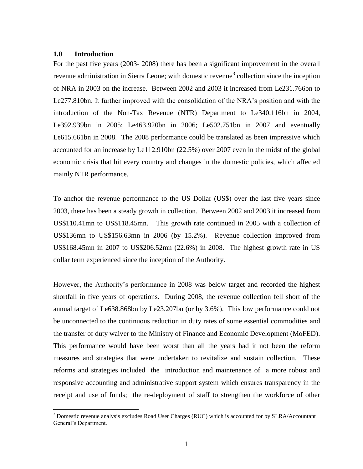### <span id="page-9-0"></span>**1.0 Introduction**

 $\overline{a}$ 

For the past five years (2003- 2008) there has been a significant improvement in the overall revenue administration in Sierra Leone; with domestic revenue<sup>3</sup> collection since the inception of NRA in 2003 on the increase. Between 2002 and 2003 it increased from Le231.766bn to Le277.810bn. It further improved with the consolidation of the NRA's position and with the introduction of the Non-Tax Revenue (NTR) Department to Le340.116bn in 2004, Le392.939bn in 2005; Le463.920bn in 2006; Le502.751bn in 2007 and eventually Le615.661bn in 2008. The 2008 performance could be translated as been impressive which accounted for an increase by Le112.910bn (22.5%) over 2007 even in the midst of the global economic crisis that hit every country and changes in the domestic policies, which affected mainly NTR performance.

To anchor the revenue performance to the US Dollar (US\$) over the last five years since 2003, there has been a steady growth in collection. Between 2002 and 2003 it increased from US\$110.41mn to US\$118.45mn. This growth rate continued in 2005 with a collection of US\$136mn to US\$156.63mn in 2006 (by 15.2%). Revenue collection improved from US\$168.45mn in 2007 to US\$206.52mn (22.6%) in 2008. The highest growth rate in US dollar term experienced since the inception of the Authority.

However, the Authority's performance in 2008 was below target and recorded the highest shortfall in five years of operations. During 2008, the revenue collection fell short of the annual target of Le638.868bn by Le23.207bn (or by 3.6%). This low performance could not be unconnected to the continuous reduction in duty rates of some essential commodities and the transfer of duty waiver to the Ministry of Finance and Economic Development (MoFED). This performance would have been worst than all the years had it not been the reform measures and strategies that were undertaken to revitalize and sustain collection. These reforms and strategies included the introduction and maintenance of a more robust and responsive accounting and administrative support system which ensures transparency in the receipt and use of funds; the re-deployment of staff to strengthen the workforce of other

<sup>3</sup> Domestic revenue analysis excludes Road User Charges (RUC) which is accounted for by SLRA/Accountant General's Department.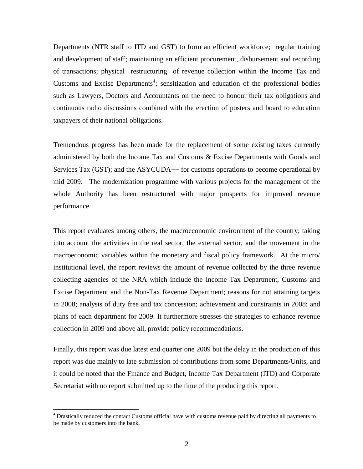Departments (NTR staff to ITD and GST) to form an efficient workforce; regular training and development of staff; maintaining an efficient procurement, disbursement and recording of transactions; physical restructuring of revenue collection within the Income Tax and Customs and Excise Departments<sup>4</sup>; sensitization and education of the professional bodies such as Lawyers, Doctors and Accountants on the need to honour their tax obligations and continuous radio discussions combined with the erection of posters and board to education taxpayers of their national obligations.

Tremendous progress has been made for the replacement of some existing taxes currently administered by both the Income Tax and Customs & Excise Departments with Goods and Services Tax (GST); and the ASYCUDA++ for customs operations to become operational by mid 2009. The modernization programme with various projects for the management of the whole Authority has been restructured with major prospects for improved revenue performance.

This report evaluates among others, the macroeconomic environment of the country; taking into account the activities in the real sector, the external sector, and the movement in the macroeconomic variables within the monetary and fiscal policy framework. At the micro/ institutional level, the report reviews the amount of revenue collected by the three revenue collecting agencies of the NRA which include the Income Tax Department, Customs and Excise Department and the Non-Tax Revenue Department; reasons for not attaining targets in 2008; analysis of duty free and tax concession; achievement and constraints in 2008; and plans of each department for 2009. It furthermore stresses the strategies to enhance revenue collection in 2009 and above all, provide policy recommendations.

Finally, this report was due latest end quarter one 2009 but the delay in the production of this report was due mainly to late submission of contributions from some Departments/Units, and it could be noted that the Finance and Budget, Income Tax Department (ITD) and Corporate Secretariat with no report submitted up to the time of the producing this report.

<sup>&</sup>lt;sup>4</sup> Drastically reduced the contact Customs official have with customs revenue paid by directing all payments to be made by customers into the bank.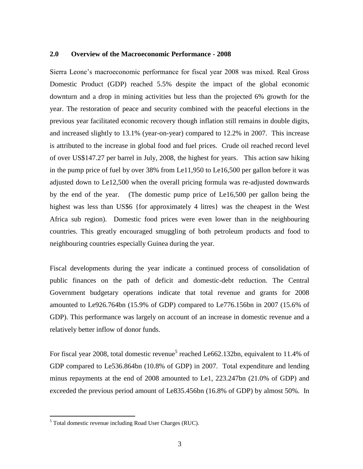#### <span id="page-11-0"></span>**2.0 Overview of the Macroeconomic Performance - 2008**

Sierra Leone's macroeconomic performance for fiscal year 2008 was mixed. Real Gross Domestic Product (GDP) reached 5.5% despite the impact of the global economic downturn and a drop in mining activities but less than the projected 6% growth for the year. The restoration of peace and security combined with the peaceful elections in the previous year facilitated economic recovery though inflation still remains in double digits, and increased slightly to 13.1% (year-on-year) compared to 12.2% in 2007. This increase is attributed to the increase in global food and fuel prices. Crude oil reached record level of over US\$147.27 per barrel in July, 2008, the highest for years. This action saw hiking in the pump price of fuel by over 38% from Le11,950 to Le16,500 per gallon before it was adjusted down to Le12,500 when the overall pricing formula was re-adjusted downwards by the end of the year. (The domestic pump price of Le16,500 per gallon being the highest was less than US\$6 {for approximately 4 litres} was the cheapest in the West Africa sub region). Domestic food prices were even lower than in the neighbouring countries. This greatly encouraged smuggling of both petroleum products and food to neighbouring countries especially Guinea during the year.

Fiscal developments during the year indicate a continued process of consolidation of public finances on the path of deficit and domestic-debt reduction. The Central Government budgetary operations indicate that total revenue and grants for 2008 amounted to Le926.764bn (15.9% of GDP) compared to Le776.156bn in 2007 (15.6% of GDP). This performance was largely on account of an increase in domestic revenue and a relatively better inflow of donor funds.

For fiscal year 2008, total domestic revenue<sup>5</sup> reached Le662.132bn, equivalent to 11.4% of GDP compared to Le536.864bn (10.8% of GDP) in 2007. Total expenditure and lending minus repayments at the end of 2008 amounted to Le1, 223.247bn (21.0% of GDP) and exceeded the previous period amount of Le835.456bn (16.8% of GDP) by almost 50%. In

<sup>5</sup> Total domestic revenue including Road User Charges (RUC).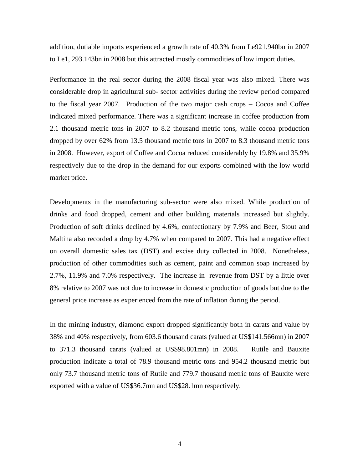addition, dutiable imports experienced a growth rate of 40.3% from Le921.940bn in 2007 to Le1, 293.143bn in 2008 but this attracted mostly commodities of low import duties.

Performance in the real sector during the 2008 fiscal year was also mixed. There was considerable drop in agricultural sub- sector activities during the review period compared to the fiscal year 2007. Production of the two major cash crops – Cocoa and Coffee indicated mixed performance. There was a significant increase in coffee production from 2.1 thousand metric tons in 2007 to 8.2 thousand metric tons, while cocoa production dropped by over 62% from 13.5 thousand metric tons in 2007 to 8.3 thousand metric tons in 2008. However, export of Coffee and Cocoa reduced considerably by 19.8% and 35.9% respectively due to the drop in the demand for our exports combined with the low world market price.

Developments in the manufacturing sub-sector were also mixed. While production of drinks and food dropped, cement and other building materials increased but slightly. Production of soft drinks declined by 4.6%, confectionary by 7.9% and Beer, Stout and Maltina also recorded a drop by 4.7% when compared to 2007. This had a negative effect on overall domestic sales tax (DST) and excise duty collected in 2008. Nonetheless, production of other commodities such as cement, paint and common soap increased by 2.7%, 11.9% and 7.0% respectively. The increase in revenue from DST by a little over 8% relative to 2007 was not due to increase in domestic production of goods but due to the general price increase as experienced from the rate of inflation during the period.

In the mining industry, diamond export dropped significantly both in carats and value by 38% and 40% respectively, from 603.6 thousand carats (valued at US\$141.566mn) in 2007 to 371.3 thousand carats (valued at US\$98.801mn) in 2008. Rutile and Bauxite production indicate a total of 78.9 thousand metric tons and 954.2 thousand metric but only 73.7 thousand metric tons of Rutile and 779.7 thousand metric tons of Bauxite were exported with a value of US\$36.7mn and US\$28.1mn respectively.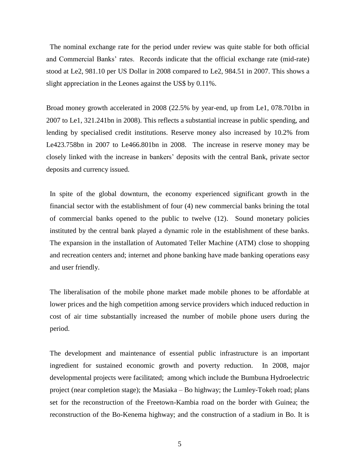The nominal exchange rate for the period under review was quite stable for both official and Commercial Banks' rates. Records indicate that the official exchange rate (mid-rate) stood at Le2, 981.10 per US Dollar in 2008 compared to Le2, 984.51 in 2007. This shows a slight appreciation in the Leones against the US\$ by 0.11%.

Broad money growth accelerated in 2008 (22.5% by year-end, up from Le1, 078.701bn in 2007 to Le1, 321.241bn in 2008). This reflects a substantial increase in public spending, and lending by specialised credit institutions. Reserve money also increased by 10.2% from Le423.758bn in 2007 to Le466.801bn in 2008. The increase in reserve money may be closely linked with the increase in bankers' deposits with the central Bank, private sector deposits and currency issued.

In spite of the global downturn, the economy experienced significant growth in the financial sector with the establishment of four (4) new commercial banks brining the total of commercial banks opened to the public to twelve (12). Sound monetary policies instituted by the central bank played a dynamic role in the establishment of these banks. The expansion in the installation of Automated Teller Machine (ATM) close to shopping and recreation centers and; internet and phone banking have made banking operations easy and user friendly.

The liberalisation of the mobile phone market made mobile phones to be affordable at lower prices and the high competition among service providers which induced reduction in cost of air time substantially increased the number of mobile phone users during the period.

The development and maintenance of essential public infrastructure is an important ingredient for sustained economic growth and poverty reduction. In 2008, major developmental projects were facilitated; among which include the Bumbuna Hydroelectric project (near completion stage); the Masiaka – Bo highway; the Lumley-Tokeh road; plans set for the reconstruction of the Freetown-Kambia road on the border with Guinea; the reconstruction of the Bo-Kenema highway; and the construction of a stadium in Bo. It is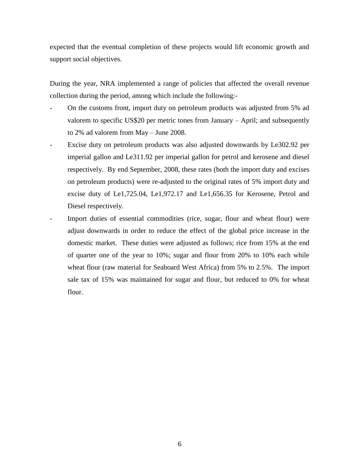expected that the eventual completion of these projects would lift economic growth and support social objectives.

During the year, NRA implemented a range of policies that affected the overall revenue collection during the period, among which include the following:-

- On the customs front, import duty on petroleum products was adjusted from 5% ad valorem to specific US\$20 per metric tones from January – April; and subsequently to 2% ad valorem from May – June 2008.
- Excise duty on petroleum products was also adjusted downwards by Le302.92 per imperial gallon and Le311.92 per imperial gallon for petrol and kerosene and diesel respectively. By end September, 2008, these rates (both the import duty and excises on petroleum products) were re-adjusted to the original rates of 5% import duty and excise duty of Le1,725.04, Le1,972.17 and Le1,656.35 for Kerosene, Petrol and Diesel respectively.
- Import duties of essential commodities (rice, sugar, flour and wheat flour) were adjust downwards in order to reduce the effect of the global price increase in the domestic market. These duties were adjusted as follows; rice from 15% at the end of quarter one of the year to 10%; sugar and flour from 20% to 10% each while wheat flour (raw material for Seaboard West Africa) from 5% to 2.5%. The import sale tax of 15% was maintained for sugar and flour, but reduced to 0% for wheat flour.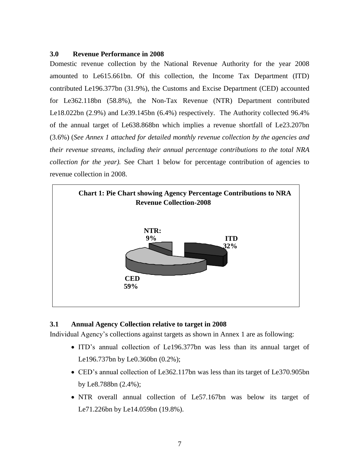## <span id="page-15-0"></span>**3.0 Revenue Performance in 2008**

Domestic revenue collection by the National Revenue Authority for the year 2008 amounted to Le615.661bn. Of this collection, the Income Tax Department (ITD) contributed Le196.377bn (31.9%), the Customs and Excise Department (CED) accounted for Le362.118bn (58.8%), the Non-Tax Revenue (NTR) Department contributed Le18.022bn (2.9%) and Le39.145bn (6.4%) respectively. The Authority collected 96.4% of the annual target of Le638.868bn which implies a revenue shortfall of Le23.207bn (3.6%) (*See Annex 1 attached for detailed monthly revenue collection by the agencies and their revenue streams, including their annual percentage contributions to the total NRA collection for the year).* See Chart 1 below for percentage contribution of agencies to revenue collection in 2008.



## <span id="page-15-1"></span>**3.1 Annual Agency Collection relative to target in 2008**

Individual Agency's collections against targets as shown in Annex 1 are as following:

- ITD's annual collection of Le196.377bn was less than its annual target of Le196.737bn by Le0.360bn (0.2%);
- CED's annual collection of Le362.117bn was less than its target of Le370.905bn by Le8.788bn (2.4%);
- NTR overall annual collection of Le57.167bn was below its target of Le71.226bn by Le14.059bn (19.8%).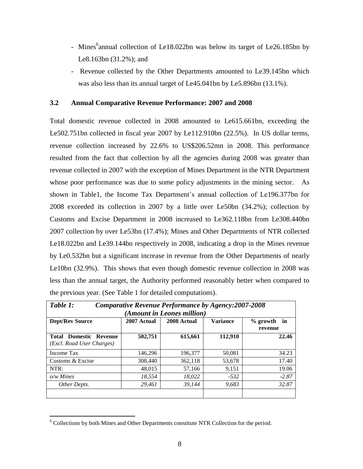- Mines<sup>6</sup>annual collection of Le18.022bn was below its target of Le26.185bn by Le8.163bn (31.2%); and
- Revenue collected by the Other Departments amounted to Le39.145bn which was also less than its annual target of Le45.041bn by Le5.896bn (13.1%).

## <span id="page-16-0"></span>**3.2 Annual Comparative Revenue Performance: 2007 and 2008**

Total domestic revenue collected in 2008 amounted to Le615.661bn, exceeding the Le502.751bn collected in fiscal year 2007 by Le112.910bn (22.5%). In US dollar terms, revenue collection increased by 22.6% to US\$206.52mn in 2008. This performance resulted from the fact that collection by all the agencies during 2008 was greater than revenue collected in 2007 with the exception of Mines Department in the NTR Department whose poor performance was due to some policy adjustments in the mining sector. As shown in Table1, the Income Tax Department's annual collection of Le196.377bn for 2008 exceeded its collection in 2007 by a little over Le50bn (34.2%); collection by Customs and Excise Department in 2008 increased to Le362.118bn from Le308.440bn 2007 collection by over Le53bn (17.4%); Mines and Other Departments of NTR collected Le18.022bn and Le39.144bn respectively in 2008, indicating a drop in the Mines revenue by Le0.532bn but a significant increase in revenue from the Other Departments of nearly Le10bn (32.9%). This shows that even though domestic revenue collection in 2008 was less than the annual target, the Authority performed reasonably better when compared to the previous year. (See Table 1 for detailed computations).

| Table 1:<br>Comparative Revenue Performance by Agency: 2007-2008                                 |                            |         |         |         |  |  |  |  |  |
|--------------------------------------------------------------------------------------------------|----------------------------|---------|---------|---------|--|--|--|--|--|
|                                                                                                  | (Amount in Leones million) |         |         |         |  |  |  |  |  |
| <b>Dept/Rev Source</b><br>2008 Actual<br><b>Variance</b><br>2007 Actual<br>$%$ growth<br>revenue |                            |         |         |         |  |  |  |  |  |
| <b>Total Domestic Revenue</b><br>(Excl. Road User Charges)                                       | 502,751                    | 615,661 | 112,910 | 22.46   |  |  |  |  |  |
| Income Tax                                                                                       | 146.296                    | 196,377 | 50,081  | 34.23   |  |  |  |  |  |
| Customs & Excise                                                                                 | 308,440                    | 362.118 | 53,678  | 17.40   |  |  |  |  |  |
| NTR:                                                                                             | 48,015                     | 57.166  | 9,151   | 19.06   |  |  |  |  |  |
| $o/w$ Mines                                                                                      | 18.554                     | 18,022  | $-532$  | $-2.87$ |  |  |  |  |  |
| Other Depts.                                                                                     | 29,461                     | 39.144  | 9,683   | 32.87   |  |  |  |  |  |

<sup>&</sup>lt;sup>6</sup> Collections by both Mines and Other Departments constitute NTR Collection for the period.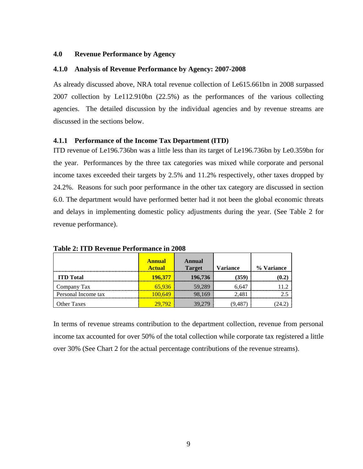### <span id="page-17-0"></span>**4.0 Revenue Performance by Agency**

### <span id="page-17-1"></span>**4.1.0 Analysis of Revenue Performance by Agency: 2007-2008**

As already discussed above, NRA total revenue collection of Le615.661bn in 2008 surpassed 2007 collection by Le112.910bn (22.5%) as the performances of the various collecting agencies. The detailed discussion by the individual agencies and by revenue streams are discussed in the sections below.

### **4.1.1 Performance of the Income Tax Department (ITD)**

ITD revenue of Le196.736bn was a little less than its target of Le196.736bn by Le0.359bn for the year. Performances by the three tax categories was mixed while corporate and personal income taxes exceeded their targets by 2.5% and 11.2% respectively, other taxes dropped by 24.2%. Reasons for such poor performance in the other tax category are discussed in section 6.0. The department would have performed better had it not been the global economic threats and delays in implementing domestic policy adjustments during the year. (See Table 2 for revenue performance).

|                     | <b>Annual</b><br><b>Actual</b> | Annual<br><b>Target</b> | <b>Variance</b> | % Variance |
|---------------------|--------------------------------|-------------------------|-----------------|------------|
| <b>ITD</b> Total    | 196.377                        | 196,736                 | (359)           |            |
| Company Tax         | 65.936                         | 59.289                  | 6,647           |            |
| Personal Income tax | 100.649                        | 98.169                  | 2.481           |            |
| <b>Other Taxes</b>  | 29.792                         | 39,279                  | 9 487           |            |

**Table 2: ITD Revenue Performance in 2008** 

In terms of revenue streams contribution to the department collection, revenue from personal income tax accounted for over 50% of the total collection while corporate tax registered a little over 30% (See Chart 2 for the actual percentage contributions of the revenue streams).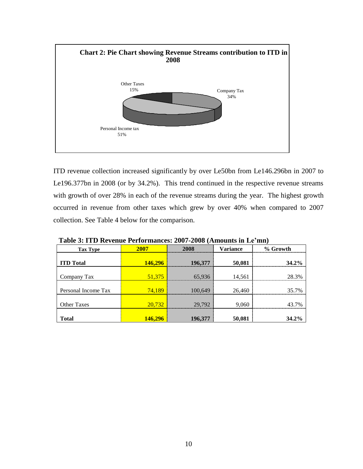

ITD revenue collection increased significantly by over Le50bn from Le146.296bn in 2007 to Le196.377bn in 2008 (or by 34.2%). This trend continued in the respective revenue streams with growth of over 28% in each of the revenue streams during the year. The highest growth occurred in revenue from other taxes which grew by over 40% when compared to 2007 collection. See Table 4 below for the comparison.

| <b>Tax Type</b>     | 2007           | <b>Variance</b><br>2008 |        | % Growth |
|---------------------|----------------|-------------------------|--------|----------|
| <b>ITD</b> Total    | <b>146,296</b> | 196,377                 | 50,081 | $34.2\%$ |
| Company Tax         | 51,375         | 65,936                  | 14,561 | 28.3%    |
| Personal Income Tax | 74,189         | 100,649                 | 26,460 | 35.7%    |
| <b>Other Taxes</b>  | 20,732         | 29,792                  | 9,060  | 43.7%    |
| <b>Total</b>        | <b>146,296</b> | 196,377                 | 50,081 | $34.2\%$ |

 **Table 3: ITD Revenue Performances: 2007-2008 (Amounts in Le'mn)**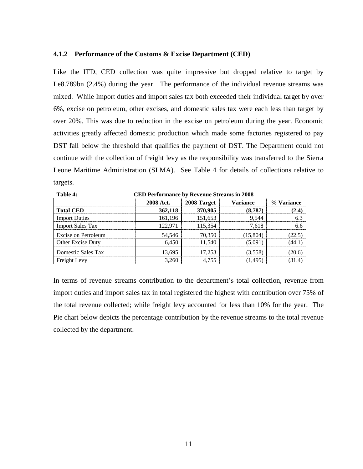#### <span id="page-19-0"></span>**4.1.2 Performance of the Customs & Excise Department (CED)**

Like the ITD, CED collection was quite impressive but dropped relative to target by Le8.789bn (2.4%) during the year. The performance of the individual revenue streams was mixed. While Import duties and import sales tax both exceeded their individual target by over 6%, excise on petroleum, other excises, and domestic sales tax were each less than target by over 20%. This was due to reduction in the excise on petroleum during the year. Economic activities greatly affected domestic production which made some factories registered to pay DST fall below the threshold that qualifies the payment of DST. The Department could not continue with the collection of freight levy as the responsibility was transferred to the Sierra Leone Maritime Administration (SLMA). See Table 4 for details of collections relative to targets.

| Table 4:<br><b>CED Performance by Revenue Streams in 2008</b> |                                             |         |         |  |  |  |  |  |
|---------------------------------------------------------------|---------------------------------------------|---------|---------|--|--|--|--|--|
|                                                               | <b>2008 Act.</b><br>2008 Target<br>Variance |         |         |  |  |  |  |  |
| <b>Total CED</b>                                              | 362,118                                     | 370,905 | (8.787) |  |  |  |  |  |
| <b>Import Duties</b>                                          | 161,196                                     | 151.653 | 9.544   |  |  |  |  |  |
| <b>Import Sales Tax</b>                                       | 122.971                                     | 115.354 | 7.618   |  |  |  |  |  |
| Excise on Petroleum                                           | 54,546                                      | 70.350  | 15.804) |  |  |  |  |  |
| Other Excise Duty                                             | 6.450                                       | 1.540   | (5.091  |  |  |  |  |  |
| Domestic Sales Tax                                            | 13,695                                      | 17.253  | (3.558) |  |  |  |  |  |
| Freight Levy                                                  | 260                                         |         |         |  |  |  |  |  |

In terms of revenue streams contribution to the department's total collection, revenue from import duties and import sales tax in total registered the highest with contribution over 75% of the total revenue collected; while freight levy accounted for less than 10% for the year. The Pie chart below depicts the percentage contribution by the revenue streams to the total revenue collected by the department.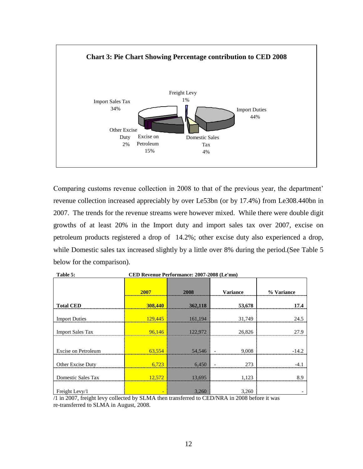

Comparing customs revenue collection in 2008 to that of the previous year, the department' revenue collection increased appreciably by over Le53bn (or by 17.4%) from Le308.440bn in 2007. The trends for the revenue streams were however mixed. While there were double digit growths of at least 20% in the Import duty and import sales tax over 2007, excise on petroleum products registered a drop of 14.2%; other excise duty also experienced a drop, while Domestic sales tax increased slightly by a little over 8% during the period. (See Table 5 below for the comparison).

|                         | 2007    | 2008    | Variance | % Variance |
|-------------------------|---------|---------|----------|------------|
| <b>Total CED</b>        | 308,440 | 362,118 | 53,678   | 17.4       |
| <b>Import Duties</b>    | 129,445 | 161,194 | 31,749   | 24.5       |
| <b>Import Sales Tax</b> | 96.146  | 122,972 | 26,826   | 27.9       |
|                         |         |         |          |            |
| Excise on Petroleum     | 63.554  | 54,546  | 9.008    | -149       |
| Other Excise Duty       | 6,723   | 6,450   | 273      |            |
| Domestic Sales Tax      | 12,572  | 13,695  | 1,123    | 8.9        |
| Freight Levy/1          |         | 3,260   | 3,260    |            |

**Table 5: CED Revenue Performance: 2007-2008 (Le'mn)**

/1 in 2007, freight levy collected by SLMA then transferred to CED/NRA in 2008 before it was re-transferred to SLMA in August, 2008.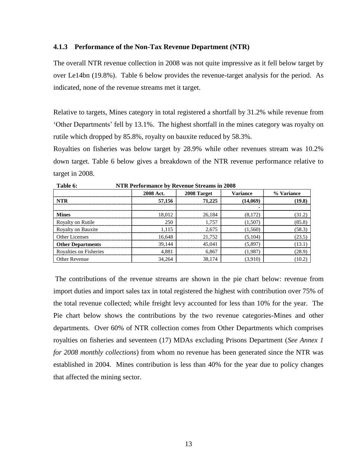#### **4.1.3 Performance of the Non-Tax Revenue Department (NTR)**

The overall NTR revenue collection in 2008 was not quite impressive as it fell below target by over Le14bn (19.8%). Table 6 below provides the revenue-target analysis for the period. As indicated, none of the revenue streams met it target.

Relative to targets, Mines category in total registered a shortfall by 31.2% while revenue from 'Other Departments' fell by 13.1%. The highest shortfall in the mines category was royalty on rutile which dropped by 85.8%, royalty on bauxite reduced by 58.3%.

Royalties on fisheries was below target by 28.9% while other revenues stream was 10.2% down target. Table 6 below gives a breakdown of the NTR revenue performance relative to target in 2008.

|                           | 2008 Act. | 2008 Target | <b>Variance</b> | % Variance |  |  |  |  |
|---------------------------|-----------|-------------|-----------------|------------|--|--|--|--|
| NTR                       | 57,156    | 71.225      | (14,069)        | (19.8)     |  |  |  |  |
|                           |           |             |                 |            |  |  |  |  |
| <b>Mines</b>              | 18 012    | 26,184      |                 | (31.2)     |  |  |  |  |
| Royalty on Rutile         | 250       | 1 757       | 1.507           | (85.8)     |  |  |  |  |
| <b>Royalty on Bauxite</b> |           | 2,675       | 1.560           | (58.3)     |  |  |  |  |
| Other Licenses            | 16.648    | 21.752      | (5.104)         | (23.5)     |  |  |  |  |
| <b>Other Departments</b>  | 39.144    | 45.041      | (5.897)         | 13.1)      |  |  |  |  |
| Royalties on Fisheries    |           | 6.867       | 1.987           | (28.9)     |  |  |  |  |
| <b>Other Revenue</b>      | 34,264    | 38,174      |                 | 10.2)      |  |  |  |  |

**Table 6: NTR Performance by Revenue Streams in 2008**

The contributions of the revenue streams are shown in the pie chart below: revenue from import duties and import sales tax in total registered the highest with contribution over 75% of the total revenue collected; while freight levy accounted for less than 10% for the year. The Pie chart below shows the contributions by the two revenue categories-Mines and other departments. Over 60% of NTR collection comes from Other Departments which comprises royalties on fisheries and seventeen (17) MDAs excluding Prisons Department (*See Annex 1 for 2008 monthly collections*) from whom no revenue has been generated since the NTR was established in 2004. Mines contribution is less than 40% for the year due to policy changes that affected the mining sector.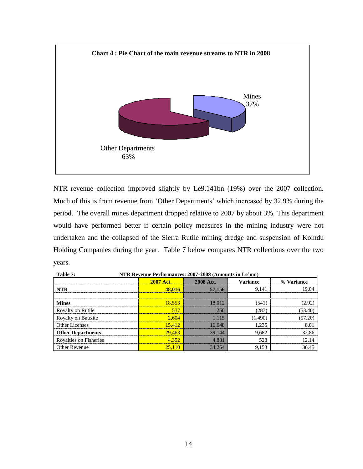

NTR revenue collection improved slightly by Le9.141bn (19%) over the 2007 collection. Much of this is from revenue from 'Other Departments' which increased by 32.9% during the period. The overall mines department dropped relative to 2007 by about 3%. This department would have performed better if certain policy measures in the mining industry were not undertaken and the collapsed of the Sierra Rutile mining dredge and suspension of Koindu Holding Companies during the year. Table 7 below compares NTR collections over the two years.

| NTR Revenue Performances: 2007-2008 (Amounts in Le'mn)<br>Table 7: |                  |           |                 |            |  |  |  |
|--------------------------------------------------------------------|------------------|-----------|-----------------|------------|--|--|--|
|                                                                    | <b>2007 Act.</b> | 2008 Act. | <b>Variance</b> | % Variance |  |  |  |
| NTR                                                                | 48.016           | 57,156    | 9,141           |            |  |  |  |
|                                                                    |                  |           |                 |            |  |  |  |
| <b>Mines</b>                                                       | 18.553           |           | (541            |            |  |  |  |
| Royalty on Rutile                                                  | 531              |           | (287            |            |  |  |  |
| Royalty on Bauxite                                                 | 2.604            |           | (1,490)         |            |  |  |  |
| Other Licenses                                                     | 15.412           | 16.648    | 1.235           |            |  |  |  |
| <b>Other Departments</b>                                           | 29.463           | 39.144    | 9,682           |            |  |  |  |
| Rovalties on Fisheries                                             |                  |           | 528             |            |  |  |  |
| <b>Other Revenue</b>                                               |                  | 34.264    | 9.153           |            |  |  |  |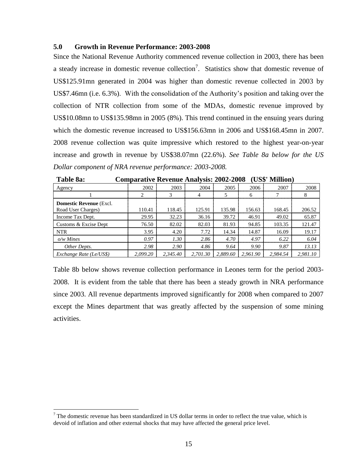### <span id="page-23-0"></span>**5.0 Growth in Revenue Performance: 2003-2008**

Since the National Revenue Authority commenced revenue collection in 2003, there has been a steady increase in domestic revenue collection<sup>7</sup>. Statistics show that domestic revenue of US\$125.91mn generated in 2004 was higher than domestic revenue collected in 2003 by US\$7.46mn (i.e. 6.3%). With the consolidation of the Authority's position and taking over the collection of NTR collection from some of the MDAs, domestic revenue improved by US\$10.08mn to US\$135.98mn in 2005 (8%). This trend continued in the ensuing years during which the domestic revenue increased to US\$156.63mn in 2006 and US\$168.45mn in 2007. 2008 revenue collection was quite impressive which restored to the highest year-on-year increase and growth in revenue by US\$38.07mn (22.6%). *See Table 8a below for the US Dollar component of NRA revenue performance: 2003-2008.*

| 1 uviv vui                     | Comparative incremae rinary sister over $\equiv$ |          |          |          |          | $V = V$  |          |
|--------------------------------|--------------------------------------------------|----------|----------|----------|----------|----------|----------|
| Agency                         | 2002                                             | 2003     | 2004     | 2005     | 2006     | 2007     | 2008     |
|                                |                                                  |          | 4        |          | 6        |          | 8        |
| <b>Domestic Revenue</b> (Excl. |                                                  |          |          |          |          |          |          |
| Road User Charges)             | 110.41                                           | 118.45   | 125.91   | 135.98   | 156.63   | 168.45   | 206.52   |
| Income Tax Dept.               | 29.95                                            | 32.23    | 36.16    | 39.72    | 46.91    | 49.02    | 65.87    |
| Customs & Excise Dept          | 76.50                                            | 82.02    | 82.03    | 81.93    | 94.85    | 103.35   | 121.47   |
| <b>NTR</b>                     | 3.95                                             | 4.20     | 7.72     | 14.34    | 14.87    | 16.09    | 19.17    |
| $o/w$ Mines                    | 0.97                                             | 1.30     | 2.86     | 4.70     | 4.97     | 6.22     | 6.04     |
| Other Depts.                   | 2.98                                             | 2.90     | 4.86     | 9.64     | 9.90     | 9.87     | 13.13    |
| Exchange Rate (Le/US\$)        | 2.099.20                                         | 2.345.40 | 2.701.30 | 2.889.60 | 2.961.90 | 2.984.54 | 2.981.10 |

**Table 8a: Comparative Revenue Analysis: 2002-2008 (US\$' Million)** 

Table 8b below shows revenue collection performance in Leones term for the period 2003- 2008. It is evident from the table that there has been a steady growth in NRA performance since 2003. All revenue departments improved significantly for 2008 when compared to 2007 except the Mines department that was greatly affected by the suspension of some mining activities.

 $<sup>7</sup>$  The domestic revenue has been standardized in US dollar terms in order to reflect the true value, which is</sup> devoid of inflation and other external shocks that may have affected the general price level.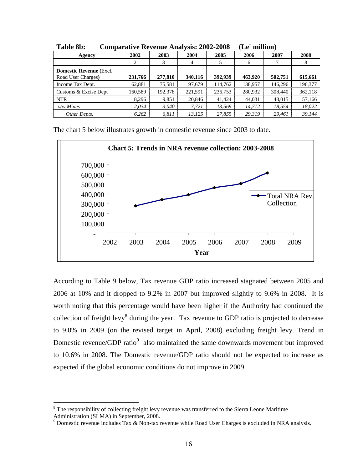| $-1$                                                   |         |         |         |         |         |         |         |  |
|--------------------------------------------------------|---------|---------|---------|---------|---------|---------|---------|--|
| Agency                                                 | 2002    | 2003    | 2004    | 2005    | 2006    | 2007    | 2008    |  |
|                                                        |         | 3       | 4       |         | 6       |         | 8       |  |
| <b>Domestic Revenue (Excl.</b> )<br>Road User Charges) | 231,766 | 277,810 | 340,116 | 392,939 | 463,920 | 502.751 | 615,661 |  |
| Income Tax Dept.                                       | 62,881  | 75,581  | 97,679  | 114,762 | 138,957 | 146,296 | 196,377 |  |
| Customs & Excise Dept                                  | 160,589 | 192,378 | 221,591 | 236,753 | 280,932 | 308,440 | 362,118 |  |
| <b>NTR</b>                                             | 8,296   | 9,851   | 20,846  | 41,424  | 44,031  | 48,015  | 57,166  |  |
| $o/w$ Mines                                            | 2,034   | 3,040   | 7,721   | 13,569  | 14,712  | 18,554  | 18,022  |  |
| Other Depts.                                           | 6,262   | 6,811   | 13,125  | 27,855  | 29,319  | 29.461  | 39,144  |  |

**Table 8b: Comparative Revenue Analysis: 2002-2008 (Le' million)** 

The chart 5 below illustrates growth in domestic revenue since 2003 to date.



According to Table 9 below, Tax revenue GDP ratio increased stagnated between 2005 and 2006 at 10% and it dropped to 9.2% in 2007 but improved slightly to 9.6% in 2008. It is worth noting that this percentage would have been higher if the Authority had continued the collection of freight levy<sup>8</sup> during the year. Tax revenue to GDP ratio is projected to decrease to 9.0% in 2009 (on the revised target in April, 2008) excluding freight levy. Trend in Domestic revenue/GDP ratio $9$  also maintained the same downwards movement but improved to 10.6% in 2008. The Domestic revenue/GDP ratio should not be expected to increase as expected if the global economic conditions do not improve in 2009.

<sup>&</sup>lt;sup>8</sup> The responsibility of collecting freight levy revenue was transferred to the Sierra Leone Maritime Administration (SLMA) in September, 2008.

<sup>&</sup>lt;sup>9</sup> Domestic revenue includes Tax & Non-tax revenue while Road User Charges is excluded in NRA analysis.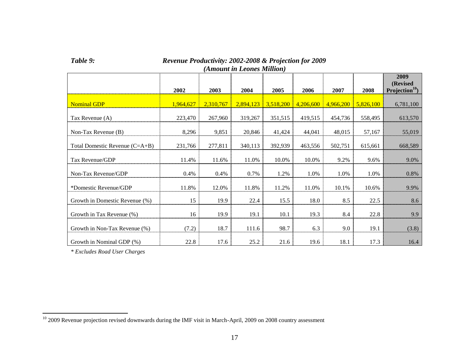| (Amount in Leones Million)     |           |           |           |           |           |           |           |                                                |
|--------------------------------|-----------|-----------|-----------|-----------|-----------|-----------|-----------|------------------------------------------------|
|                                | 2002      | 2003      | 2004      | 2005      | 2006      | 2007      | 2008      | 2009<br>(Revised<br>Projection <sup>10</sup> ) |
| <b>Nominal GDP</b>             | 1,964,627 | 2,310,767 | 2,894,123 | 3,518,200 | 4,206,600 | 4,966,200 | 5,826,100 | 6,781,100                                      |
| Tax Revenue (A)                | 223,470   | 267,960   | 319,267   | 351,515   | 419,515   | 454,736   | 558,495   | 613,570                                        |
| Non-Tax Revenue (B)            | 8,296     | 9,851     | 20,846    | 41,424    | 44,041    | 48,015    | 57,167    | 55,019                                         |
| Total Domestic Revenue (C=A+B) | 231,766   | 277,811   | 340,113   | 392,939   | 463,556   | 502,751   | 615,661   | 668,589                                        |
| Tax Revenue/GDP                | 11.4%     | 11.6%     | 11.0%     | 10.0%     | 10.0%     | 9.2%      | 9.6%      | 9.0%                                           |
| Non-Tax Revenue/GDP            | 0.4%      | 0.4%      | 0.7%      | 1.2%      | 1.0%      | 1.0%      | 1.0%      | 0.8%                                           |
| *Domestic Revenue/GDP          | 11.8%     | 12.0%     | 11.8%     | 11.2%     | 11.0%     | 10.1%     | 10.6%     | 9.9%                                           |
| Growth in Domestic Revenue (%) | 15        | 19.9      | 22.4      | 15.5      | 18.0      | 8.5       | 22.5      | 8.6                                            |
| Growth in Tax Revenue (%)      | 16        | 19.9      | 19.1      | 10.1      | 19.3      | 8.4       | 22.8      | 9.9                                            |
| Growth in Non-Tax Revenue (%)  | (7.2)     | 18.7      | 111.6     | 98.7      | 6.3       | 9.0       | 19.1      | (3.8)                                          |
| Growth in Nominal GDP (%)      | 22.8      | 17.6      | 25.2      | 21.6      | 19.6      | 18.1      | 17.3      | 16.4                                           |

## *Table 9: Revenue Productivity: 2002-2008 & Projection for 2009*

*\* Excludes Road User Charges*

 $10$  2009 Revenue projection revised downwards during the IMF visit in March-April, 2009 on 2008 country assessment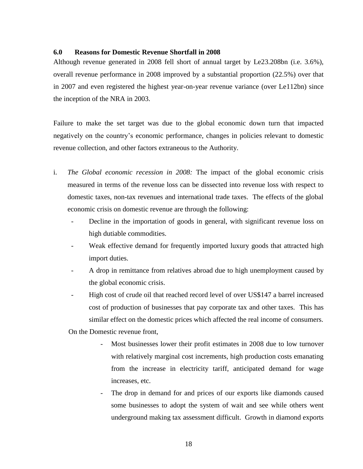## **6.0 Reasons for Domestic Revenue Shortfall in 2008**

Although revenue generated in 2008 fell short of annual target by Le23.208bn (i.e. 3.6%), overall revenue performance in 2008 improved by a substantial proportion (22.5%) over that in 2007 and even registered the highest year-on-year revenue variance (over Le112bn) since the inception of the NRA in 2003.

Failure to make the set target was due to the global economic down turn that impacted negatively on the country's economic performance, changes in policies relevant to domestic revenue collection, and other factors extraneous to the Authority.

- i. *The Global economic recession in 2008:* The impact of the global economic crisis measured in terms of the revenue loss can be dissected into revenue loss with respect to domestic taxes, non-tax revenues and international trade taxes. The effects of the global economic crisis on domestic revenue are through the following:
	- Decline in the importation of goods in general, with significant revenue loss on high dutiable commodities.
	- Weak effective demand for frequently imported luxury goods that attracted high import duties.
	- A drop in remittance from relatives abroad due to high unemployment caused by the global economic crisis.
	- High cost of crude oil that reached record level of over US\$147 a barrel increased cost of production of businesses that pay corporate tax and other taxes. This has similar effect on the domestic prices which affected the real income of consumers.

On the Domestic revenue front,

- Most businesses lower their profit estimates in 2008 due to low turnover with relatively marginal cost increments, high production costs emanating from the increase in electricity tariff, anticipated demand for wage increases, etc.
- The drop in demand for and prices of our exports like diamonds caused some businesses to adopt the system of wait and see while others went underground making tax assessment difficult. Growth in diamond exports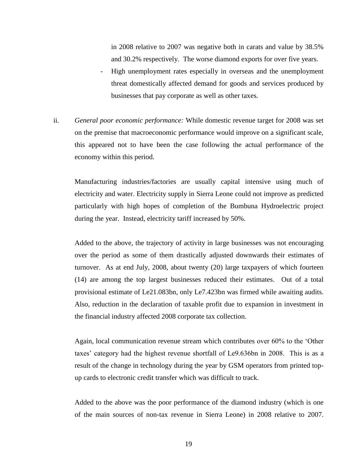in 2008 relative to 2007 was negative both in carats and value by 38.5% and 30.2% respectively. The worse diamond exports for over five years.

- High unemployment rates especially in overseas and the unemployment threat domestically affected demand for goods and services produced by businesses that pay corporate as well as other taxes.
- ii. *General poor economic performance:* While domestic revenue target for 2008 was set on the premise that macroeconomic performance would improve on a significant scale, this appeared not to have been the case following the actual performance of the economy within this period.

Manufacturing industries/factories are usually capital intensive using much of electricity and water. Electricity supply in Sierra Leone could not improve as predicted particularly with high hopes of completion of the Bumbuna Hydroelectric project during the year. Instead, electricity tariff increased by 50%.

Added to the above, the trajectory of activity in large businesses was not encouraging over the period as some of them drastically adjusted downwards their estimates of turnover. As at end July, 2008, about twenty (20) large taxpayers of which fourteen (14) are among the top largest businesses reduced their estimates. Out of a total provisional estimate of Le21.083bn, only Le7.423bn was firmed while awaiting audits. Also, reduction in the declaration of taxable profit due to expansion in investment in the financial industry affected 2008 corporate tax collection.

Again, local communication revenue stream which contributes over 60% to the 'Other taxes' category had the highest revenue shortfall of Le9.636bn in 2008. This is as a result of the change in technology during the year by GSM operators from printed topup cards to electronic credit transfer which was difficult to track.

Added to the above was the poor performance of the diamond industry (which is one of the main sources of non-tax revenue in Sierra Leone) in 2008 relative to 2007.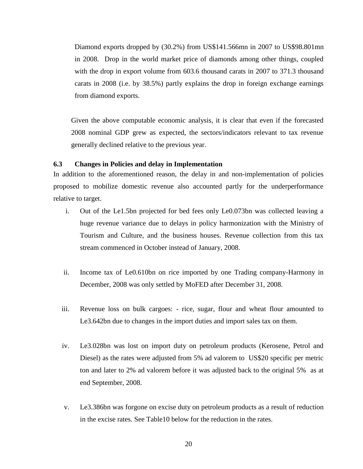Diamond exports dropped by (30.2%) from US\$141.566mn in 2007 to US\$98.801mn in 2008. Drop in the world market price of diamonds among other things, coupled with the drop in export volume from 603.6 thousand carats in 2007 to 371.3 thousand carats in 2008 (i.e. by 38.5%) partly explains the drop in foreign exchange earnings from diamond exports.

Given the above computable economic analysis, it is clear that even if the forecasted 2008 nominal GDP grew as expected, the sectors/indicators relevant to tax revenue generally declined relative to the previous year.

## <span id="page-28-0"></span>**6.3 Changes in Policies and delay in Implementation**

In addition to the aforementioned reason, the delay in and non-implementation of policies proposed to mobilize domestic revenue also accounted partly for the underperformance relative to target.

- i. Out of the Le1.5bn projected for bed fees only Le0.073bn was collected leaving a huge revenue variance due to delays in policy harmonization with the Ministry of Tourism and Culture, and the business houses. Revenue collection from this tax stream commenced in October instead of January, 2008.
- ii. Income tax of Le0.610bn on rice imported by one Trading company-Harmony in December, 2008 was only settled by MoFED after December 31, 2008.
- iii. Revenue loss on bulk cargoes: rice, sugar, flour and wheat flour amounted to Le3.642bn due to changes in the import duties and import sales tax on them.
- iv. Le3.028bn was lost on import duty on petroleum products (Kerosene, Petrol and Diesel) as the rates were adjusted from 5% ad valorem to US\$20 specific per metric ton and later to 2% ad valorem before it was adjusted back to the original 5% as at end September, 2008.
- v. Le3.386bn was forgone on excise duty on petroleum products as a result of reduction in the excise rates. See Table10 below for the reduction in the rates.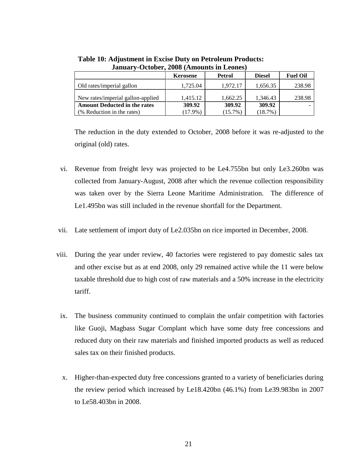|                                     | Kerosene   | Petrol     | <b>Diesel</b> | <b>Fuel Oil</b> |
|-------------------------------------|------------|------------|---------------|-----------------|
| Old rates/imperial gallon           | 1.725.04   | 1.972.17   | 1.656.35      | 238.98          |
| New rates/imperial gallon-applied   | 1.415.12   | 1.662.25   | 1.346.43      | 238.98          |
| <b>Amount Deducted in the rates</b> | 309.92     | 309.92     | 309.92        |                 |
| (% Reduction in the rates)          | $(17.9\%)$ | $(15.7\%)$ | $(18.7\%)$    |                 |

**Table 10: Adjustment in Excise Duty on Petroleum Products: January-October, 2008 (Amounts in Leones)**

The reduction in the duty extended to October, 2008 before it was re-adjusted to the original (old) rates.

- vi. Revenue from freight levy was projected to be Le4.755bn but only Le3.260bn was collected from January-August, 2008 after which the revenue collection responsibility was taken over by the Sierra Leone Maritime Administration. The difference of Le1.495bn was still included in the revenue shortfall for the Department.
- vii. Late settlement of import duty of Le2.035bn on rice imported in December, 2008.
- viii. During the year under review, 40 factories were registered to pay domestic sales tax and other excise but as at end 2008, only 29 remained active while the 11 were below taxable threshold due to high cost of raw materials and a 50% increase in the electricity tariff.
- ix. The business community continued to complain the unfair competition with factories like Guoji, Magbass Sugar Complant which have some duty free concessions and reduced duty on their raw materials and finished imported products as well as reduced sales tax on their finished products.
- x. Higher-than-expected duty free concessions granted to a variety of beneficiaries during the review period which increased by Le18.420bn (46.1%) from Le39.983bn in 2007 to Le58.403bn in 2008.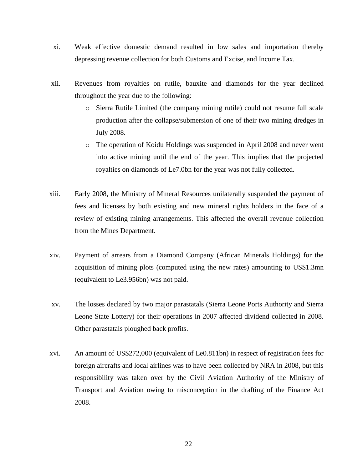- xi. Weak effective domestic demand resulted in low sales and importation thereby depressing revenue collection for both Customs and Excise, and Income Tax.
- xii. Revenues from royalties on rutile, bauxite and diamonds for the year declined throughout the year due to the following:
	- o Sierra Rutile Limited (the company mining rutile) could not resume full scale production after the collapse/submersion of one of their two mining dredges in July 2008.
	- o The operation of Koidu Holdings was suspended in April 2008 and never went into active mining until the end of the year. This implies that the projected royalties on diamonds of Le7.0bn for the year was not fully collected.
- xiii. Early 2008, the Ministry of Mineral Resources unilaterally suspended the payment of fees and licenses by both existing and new mineral rights holders in the face of a review of existing mining arrangements. This affected the overall revenue collection from the Mines Department.
- xiv. Payment of arrears from a Diamond Company (African Minerals Holdings) for the acquisition of mining plots (computed using the new rates) amounting to US\$1.3mn (equivalent to Le3.956bn) was not paid.
- xv. The losses declared by two major parastatals (Sierra Leone Ports Authority and Sierra Leone State Lottery) for their operations in 2007 affected dividend collected in 2008. Other parastatals ploughed back profits.
- xvi. An amount of US\$272,000 (equivalent of Le0.811bn) in respect of registration fees for foreign aircrafts and local airlines was to have been collected by NRA in 2008, but this responsibility was taken over by the Civil Aviation Authority of the Ministry of Transport and Aviation owing to misconception in the drafting of the Finance Act 2008.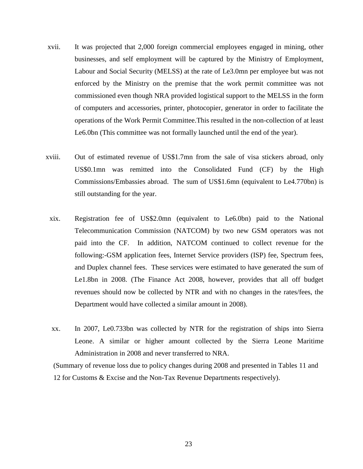- xvii. It was projected that 2,000 foreign commercial employees engaged in mining, other businesses, and self employment will be captured by the Ministry of Employment, Labour and Social Security (MELSS) at the rate of Le3.0mn per employee but was not enforced by the Ministry on the premise that the work permit committee was not commissioned even though NRA provided logistical support to the MELSS in the form of computers and accessories, printer, photocopier, generator in order to facilitate the operations of the Work Permit Committee.This resulted in the non-collection of at least Le6.0bn (This committee was not formally launched until the end of the year).
- xviii. Out of estimated revenue of US\$1.7mn from the sale of visa stickers abroad, only US\$0.1mn was remitted into the Consolidated Fund (CF) by the High Commissions/Embassies abroad. The sum of US\$1.6mn (equivalent to Le4.770bn) is still outstanding for the year.
	- xix. Registration fee of US\$2.0mn (equivalent to Le6.0bn) paid to the National Telecommunication Commission (NATCOM) by two new GSM operators was not paid into the CF. In addition, NATCOM continued to collect revenue for the following:-GSM application fees, Internet Service providers (ISP) fee, Spectrum fees, and Duplex channel fees. These services were estimated to have generated the sum of Le1.8bn in 2008. (The Finance Act 2008, however, provides that all off budget revenues should now be collected by NTR and with no changes in the rates/fees, the Department would have collected a similar amount in 2008).
	- xx. In 2007, Le0.733bn was collected by NTR for the registration of ships into Sierra Leone. A similar or higher amount collected by the Sierra Leone Maritime Administration in 2008 and never transferred to NRA.

(Summary of revenue loss due to policy changes during 2008 and presented in Tables 11 and 12 for Customs & Excise and the Non-Tax Revenue Departments respectively).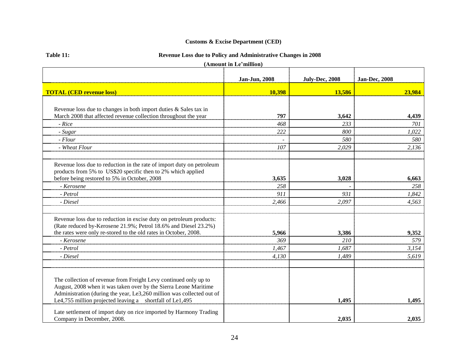## **Customs & Excise Department (CED)**

| Table 11: |  |
|-----------|--|
|           |  |
|           |  |

## **Table 11: Revenue Loss due to Policy and Administrative Changes in 2008**

**(Amount in Le'million)**

|                                                                                                                                                                                                                                                                           | Jan-Jun, 2008 | <b>July-Dec, 2008</b> | <b>Jan-Dec, 2008</b> |
|---------------------------------------------------------------------------------------------------------------------------------------------------------------------------------------------------------------------------------------------------------------------------|---------------|-----------------------|----------------------|
| <b>TOTAL (CED revenue loss)</b>                                                                                                                                                                                                                                           | 10,398        | 13,586                | 23,984               |
|                                                                                                                                                                                                                                                                           |               |                       |                      |
| Revenue loss due to changes in both import duties & Sales tax in                                                                                                                                                                                                          |               |                       |                      |
| March 2008 that affected revenue collection throughout the year                                                                                                                                                                                                           | 797           | 3,642                 | 4,439                |
| - Rice                                                                                                                                                                                                                                                                    | 468           | 233                   | 701                  |
| - Sugar                                                                                                                                                                                                                                                                   | 222           | 800                   | 1,022                |
| - Flour                                                                                                                                                                                                                                                                   |               | 580                   | 580                  |
| - Wheat Flour                                                                                                                                                                                                                                                             | 107           | 2,029                 | 2,136                |
| Revenue loss due to reduction in the rate of import duty on petroleum<br>products from 5% to US\$20 specific then to 2% which applied                                                                                                                                     |               |                       |                      |
| before being restored to 5% in October, 2008                                                                                                                                                                                                                              | 3,635         | 3,028                 | 6,663                |
| - Kerosene                                                                                                                                                                                                                                                                | 258           |                       | 258                  |
| - Petrol                                                                                                                                                                                                                                                                  | 911           | 931                   | 1,842                |
| - Diesel                                                                                                                                                                                                                                                                  | 2,466         | 2,097                 | 4,563                |
| Revenue loss due to reduction in excise duty on petroleum products:<br>(Rate reduced by-Kerosene 21.9%; Petrol 18.6% and Diesel 23.2%)<br>the rates were only re-stored to the old rates in October, 2008.                                                                | 5,966         | 3,386                 | 9,352                |
| - Kerosene                                                                                                                                                                                                                                                                | 369           | <i>210</i>            | 579                  |
| - Petrol                                                                                                                                                                                                                                                                  | 1,467         | 1,687                 | 3,154                |
| - Diesel                                                                                                                                                                                                                                                                  | 4,130         | 1,489                 | 5,619                |
| The collection of revenue from Freight Levy continued only up to<br>August, 2008 when it was taken over by the Sierra Leone Maritime<br>Administration (during the year, Le3,260 million was collected out of<br>Le4,755 million projected leaving a shortfall of Le1,495 |               | 1,495                 | 1,495                |
| Late settlement of import duty on rice imported by Harmony Trading<br>Company in December, 2008.                                                                                                                                                                          |               | 2,035                 | 2,035                |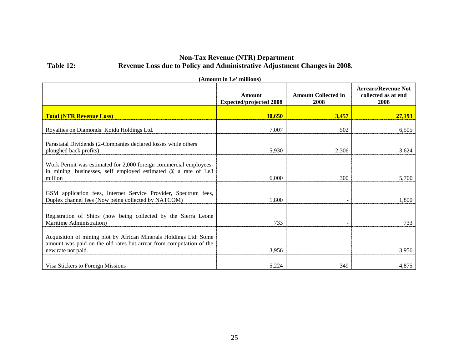## **Non-Tax Revenue (NTR) Department Table 12: Revenue Loss due to Policy and Administrative Adjustment Changes in 2008.**

| (Amount in Le' millions)                                                                                                                                       |                                          |                                    |                                                           |  |
|----------------------------------------------------------------------------------------------------------------------------------------------------------------|------------------------------------------|------------------------------------|-----------------------------------------------------------|--|
|                                                                                                                                                                | Amount<br><b>Expected/projected 2008</b> | <b>Amount Collected in</b><br>2008 | <b>Arrears/Revenue Not</b><br>collected as at end<br>2008 |  |
| <b>Total (NTR Revenue Loss)</b>                                                                                                                                | 30,650                                   | 3,457                              | 27,193                                                    |  |
| Royalties on Diamonds: Koidu Holdings Ltd.                                                                                                                     | 7,007                                    | 502                                | 6,505                                                     |  |
| Parastatal Dividends (2-Companies declared losses while others<br>ploughed back profits)                                                                       | 5,930                                    | 2,306                              | 3,624                                                     |  |
| Work Permit was estimated for 2,000 foreign commercial employees-<br>in mining, businesses, self employed estimated $@$ a rate of Le3<br>million               | 6,000                                    | 300                                | 5,700                                                     |  |
| GSM application fees, Internet Service Provider, Spectrum fees,<br>Duplex channel fees (Now being collected by NATCOM)                                         | 1,800                                    |                                    | 1,800                                                     |  |
| Registration of Ships (now being collected by the Sierra Leone<br>Maritime Administration)                                                                     | 733                                      |                                    | 733                                                       |  |
| Acquisition of mining plot by African Minerals Holdings Ltd: Some<br>amount was paid on the old rates but arrear from computation of the<br>new rate not paid. | 3,956                                    |                                    | 3,956                                                     |  |
| Visa Stickers to Foreign Missions                                                                                                                              | 5,224                                    | 349                                | 4,875                                                     |  |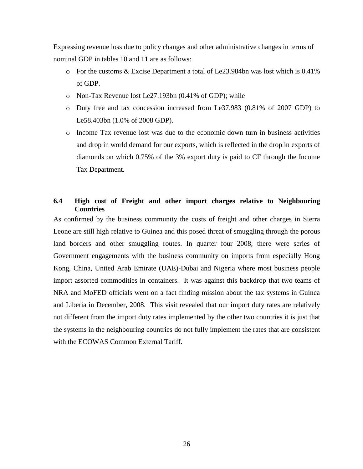Expressing revenue loss due to policy changes and other administrative changes in terms of nominal GDP in tables 10 and 11 are as follows:

- o For the customs & Excise Department a total of Le23.984bn was lost which is 0.41% of GDP.
- o Non-Tax Revenue lost Le27.193bn (0.41% of GDP); while
- o Duty free and tax concession increased from Le37.983 (0.81% of 2007 GDP) to Le58.403bn (1.0% of 2008 GDP).
- o Income Tax revenue lost was due to the economic down turn in business activities and drop in world demand for our exports, which is reflected in the drop in exports of diamonds on which 0.75% of the 3% export duty is paid to CF through the Income Tax Department.

### <span id="page-34-0"></span>**6.4 High cost of Freight and other import charges relative to Neighbouring Countries**

As confirmed by the business community the costs of freight and other charges in Sierra Leone are still high relative to Guinea and this posed threat of smuggling through the porous land borders and other smuggling routes. In quarter four 2008, there were series of Government engagements with the business community on imports from especially Hong Kong, China, United Arab Emirate (UAE)-Dubai and Nigeria where most business people import assorted commodities in containers. It was against this backdrop that two teams of NRA and MoFED officials went on a fact finding mission about the tax systems in Guinea and Liberia in December, 2008. This visit revealed that our import duty rates are relatively not different from the import duty rates implemented by the other two countries it is just that the systems in the neighbouring countries do not fully implement the rates that are consistent with the ECOWAS Common External Tariff.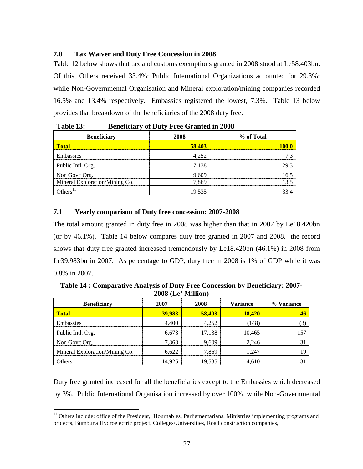## <span id="page-35-0"></span>**7.0 Tax Waiver and Duty Free Concession in 2008**

Table 12 below shows that tax and customs exemptions granted in 2008 stood at Le58.403bn. Of this, Others received 33.4%; Public International Organizations accounted for 29.3%; while Non-Governmental Organisation and Mineral exploration/mining companies recorded 16.5% and 13.4% respectively. Embassies registered the lowest, 7.3%. Table 13 below provides that breakdown of the beneficiaries of the 2008 duty free.

| ----- <i>---</i> -- <sub>-</sub> , |        |            |
|------------------------------------|--------|------------|
| <b>Beneficiary</b>                 | 2008   | % of Total |
| Total                              | 58,403 |            |
| Embassies                          | 4.252  |            |
| Public Intl. Org.                  | 17,138 | 29.3       |
| Non Gov't Org.                     | 9.609  |            |
| Mineral Exploration/Mining Co.     | 7.869  |            |
|                                    | 19.535 |            |

**Table 13: Beneficiary of Duty Free Granted in 2008**

## **7.1 Yearly comparison of Duty free concession: 2007-2008**

 $\overline{a}$ 

The total amount granted in duty free in 2008 was higher than that in 2007 by Le18.420bn (or by 46.1%). Table 14 below compares duty free granted in 2007 and 2008. the record shows that duty free granted increased tremendously by Le18.420bn (46.1%) in 2008 from Le39.983bn in 2007. As percentage to GDP, duty free in 2008 is 1% of GDP while it was 0.8% in 2007.

**Table 14 : Comparative Analysis of Duty Free Concession by Beneficiary: 2007- 2008 (Le' Million)**

| <b>Beneficiary</b>             | 2007   | 2008   | <b>Variance</b> | % Variance |
|--------------------------------|--------|--------|-----------------|------------|
| <b>Total</b>                   | 39,983 | 58,403 | 18,420          |            |
| Embassies                      | 4,400  | 4.252  | (148)           |            |
| Public Intl. Org.              | 6,673  | 17.138 | 10,465          |            |
| Non Gov't Org.                 | 7,363  | 9.609  | 2.246           |            |
| Mineral Exploration/Mining Co. | 6,622  | 7.869  | 1,247           |            |
| Others                         | 14,925 | 19.535 | 4.610           |            |

Duty free granted increased for all the beneficiaries except to the Embassies which decreased by 3%. Public International Organisation increased by over 100%, while Non-Governmental

 $11$  Others include: office of the President, Hournables, Parliamentarians, Ministries implementing programs and projects, Bumbuna Hydroelectric project, Colleges/Universities, Road construction companies,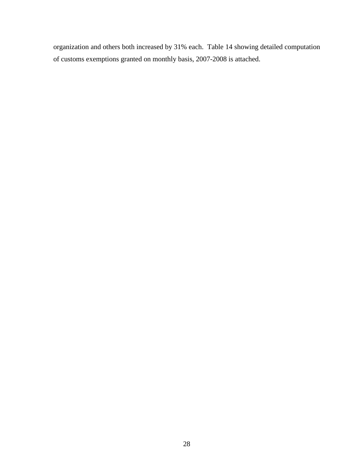organization and others both increased by 31% each. Table 14 showing detailed computation of customs exemptions granted on monthly basis, 2007-2008 is attached.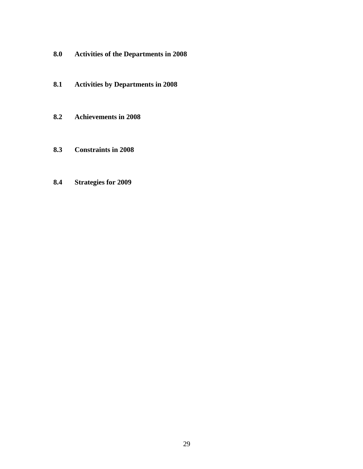- <span id="page-37-0"></span>**8.0 Activities of the Departments in 2008**
- **8.1 Activities by Departments in 2008**
- **8.2 Achievements in 2008**
- **8.3 Constraints in 2008**
- **8.4 Strategies for 2009**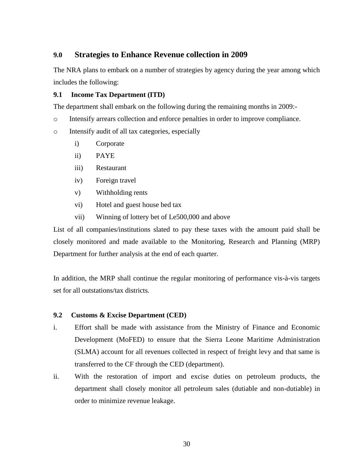# <span id="page-38-0"></span>**9.0 Strategies to Enhance Revenue collection in 2009**

The NRA plans to embark on a number of strategies by agency during the year among which includes the following:

## **9.1 Income Tax Department (ITD)**

The department shall embark on the following during the remaining months in 2009:-

o Intensify arrears collection and enforce penalties in order to improve compliance.

o Intensify audit of all tax categories, especially

- i) Corporate
- ii) PAYE
- iii) Restaurant
- iv) Foreign travel
- v) Withholding rents
- vi) Hotel and guest house bed tax
- vii) Winning of lottery bet of Le500,000 and above

List of all companies/institutions slated to pay these taxes with the amount paid shall be closely monitored and made available to the Monitoring, Research and Planning (MRP) Department for further analysis at the end of each quarter.

In addition, the MRP shall continue the regular monitoring of performance vis-à-vis targets set for all outstations/tax districts.

#### **9.2 Customs & Excise Department (CED)**

- i. Effort shall be made with assistance from the Ministry of Finance and Economic Development (MoFED) to ensure that the Sierra Leone Maritime Administration (SLMA) account for all revenues collected in respect of freight levy and that same is transferred to the CF through the CED (department).
- ii. With the restoration of import and excise duties on petroleum products, the department shall closely monitor all petroleum sales (dutiable and non-dutiable) in order to minimize revenue leakage.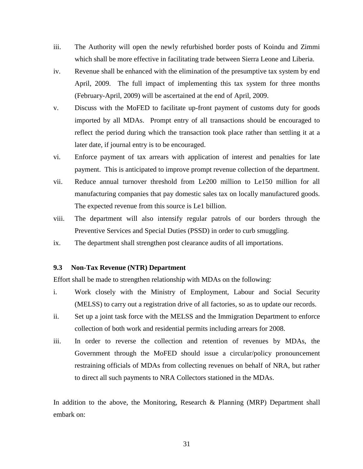- iii. The Authority will open the newly refurbished border posts of Koindu and Zimmi which shall be more effective in facilitating trade between Sierra Leone and Liberia.
- iv. Revenue shall be enhanced with the elimination of the presumptive tax system by end April, 2009. The full impact of implementing this tax system for three months (February-April, 2009) will be ascertained at the end of April, 2009.
- v. Discuss with the MoFED to facilitate up-front payment of customs duty for goods imported by all MDAs. Prompt entry of all transactions should be encouraged to reflect the period during which the transaction took place rather than settling it at a later date, if journal entry is to be encouraged.
- vi. Enforce payment of tax arrears with application of interest and penalties for late payment. This is anticipated to improve prompt revenue collection of the department.
- vii. Reduce annual turnover threshold from Le200 million to Le150 million for all manufacturing companies that pay domestic sales tax on locally manufactured goods. The expected revenue from this source is Le1 billion.
- viii. The department will also intensify regular patrols of our borders through the Preventive Services and Special Duties (PSSD) in order to curb smuggling.
- ix. The department shall strengthen post clearance audits of all importations.

### **9.3 Non-Tax Revenue (NTR) Department**

Effort shall be made to strengthen relationship with MDAs on the following:

- i. Work closely with the Ministry of Employment, Labour and Social Security (MELSS) to carry out a registration drive of all factories, so as to update our records.
- ii. Set up a joint task force with the MELSS and the Immigration Department to enforce collection of both work and residential permits including arrears for 2008.
- iii. In order to reverse the collection and retention of revenues by MDAs, the Government through the MoFED should issue a circular/policy pronouncement restraining officials of MDAs from collecting revenues on behalf of NRA, but rather to direct all such payments to NRA Collectors stationed in the MDAs.

In addition to the above, the Monitoring, Research & Planning (MRP) Department shall embark on: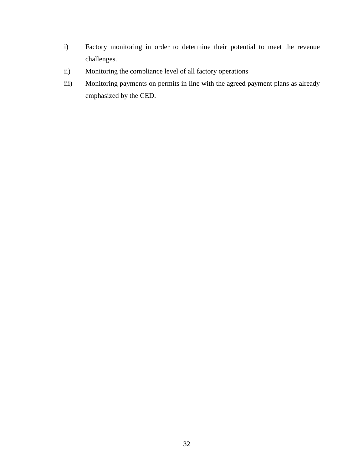- i) Factory monitoring in order to determine their potential to meet the revenue challenges.
- ii) Monitoring the compliance level of all factory operations
- iii) Monitoring payments on permits in line with the agreed payment plans as already emphasized by the CED.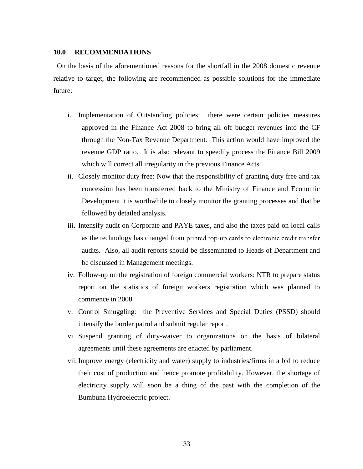#### <span id="page-41-0"></span>**10.0 RECOMMENDATIONS**

On the basis of the aforementioned reasons for the shortfall in the 2008 domestic revenue relative to target, the following are recommended as possible solutions for the immediate future:

- i. Implementation of Outstanding policies:there were certain policies measures approved in the Finance Act 2008 to bring all off budget revenues into the CF through the Non-Tax Revenue Department. This action would have improved the revenue GDP ratio. It is also relevant to speedily process the Finance Bill 2009 which will correct all irregularity in the previous Finance Acts.
- ii. Closely monitor duty free: Now that the responsibility of granting duty free and tax concession has been transferred back to the Ministry of Finance and Economic Development it is worthwhile to closely monitor the granting processes and that be followed by detailed analysis.
- iii. Intensify audit on Corporate and PAYE taxes, and also the taxes paid on local calls as the technology has changed from printed top-up cards to electronic credit transfer audits. Also, all audit reports should be disseminated to Heads of Department and be discussed in Management meetings.
- iv. Follow-up on the registration of foreign commercial workers: NTR to prepare status report on the statistics of foreign workers registration which was planned to commence in 2008.
- v. Control Smuggling: the Preventive Services and Special Duties (PSSD) should intensify the border patrol and submit regular report.
- vi. Suspend granting of duty-waiver to organizations on the basis of bilateral agreements until these agreements are enacted by parliament.
- vii. Improve energy (electricity and water) supply to industries/firms in a bid to reduce their cost of production and hence promote profitability. However, the shortage of electricity supply will soon be a thing of the past with the completion of the Bumbuna Hydroelectric project.